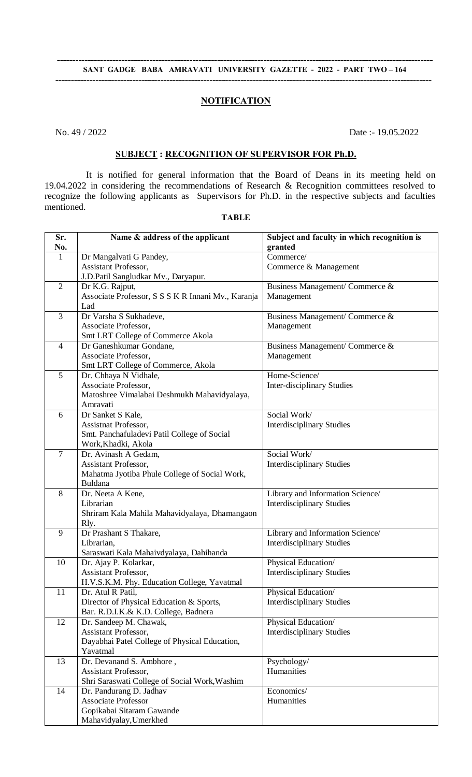# SANT GADGE BABA AMRAVATI UNIVERSITY GAZETTE - 2022 - PART TWO - 164 **--------------------------------------------------------------------------------------------------------------------------**

# **NOTIFICATION**

No. 49 / 2022 Date :- 19.05.2022

# **SUBJECT : RECOGNITION OF SUPERVISOR FOR Ph.D.**

 It is notified for general information that the Board of Deans in its meeting held on 19.04.2022 in considering the recommendations of Research & Recognition committees resolved to recognize the following applicants as Supervisors for Ph.D. in the respective subjects and faculties mentioned.

| Sr.<br>No.     | Name & address of the applicant                                       | Subject and faculty in which recognition is<br>granted |
|----------------|-----------------------------------------------------------------------|--------------------------------------------------------|
| $\mathbf{1}$   | Dr Mangalvati G Pandey,                                               | Commerce/                                              |
|                | Assistant Professor,                                                  | Commerce & Management                                  |
|                | J.D.Patil Sangludkar Mv., Daryapur.                                   |                                                        |
| $\overline{2}$ | Dr K.G. Rajput,                                                       | Business Management/ Commerce &                        |
|                | Associate Professor, S S S K R Innani Mv., Karanja                    | Management                                             |
|                | Lad                                                                   |                                                        |
| 3              | Dr Varsha S Sukhadeve,                                                | Business Management/ Commerce &                        |
|                | Associate Professor,                                                  | Management                                             |
|                | Smt LRT College of Commerce Akola                                     |                                                        |
| $\overline{4}$ | Dr Ganeshkumar Gondane,                                               | Business Management/ Commerce &                        |
|                | Associate Professor,                                                  | Management                                             |
|                | Smt LRT College of Commerce, Akola                                    |                                                        |
| $\overline{5}$ | Dr. Chhaya N Vidhale,                                                 | Home-Science/                                          |
|                | Associate Professor,                                                  | Inter-disciplinary Studies                             |
|                | Matoshree Vimalabai Deshmukh Mahavidyalaya,                           |                                                        |
| 6              | Amravati<br>Dr Sanket S Kale,                                         | Social Work/                                           |
|                |                                                                       |                                                        |
|                | Assistnat Professor,<br>Smt. Panchafuladevi Patil College of Social   | <b>Interdisciplinary Studies</b>                       |
|                | Work, Khadki, Akola                                                   |                                                        |
| $\overline{7}$ | Dr. Avinash A Gedam,                                                  | Social Work/                                           |
|                | Assistant Professor,                                                  | <b>Interdisciplinary Studies</b>                       |
|                | Mahatma Jyotiba Phule College of Social Work,                         |                                                        |
|                | Buldana                                                               |                                                        |
| 8              | Dr. Neeta A Kene,                                                     | Library and Information Science/                       |
|                | Librarian                                                             | <b>Interdisciplinary Studies</b>                       |
|                | Shriram Kala Mahila Mahavidyalaya, Dhamangaon                         |                                                        |
|                | Rly.                                                                  |                                                        |
| 9              | Dr Prashant S Thakare,                                                | Library and Information Science/                       |
|                | Librarian,                                                            | <b>Interdisciplinary Studies</b>                       |
|                | Saraswati Kala Mahaivdyalaya, Dahihanda                               |                                                        |
| 10             | Dr. Ajay P. Kolarkar,                                                 | Physical Education/                                    |
|                | Assistant Professor,                                                  | <b>Interdisciplinary Studies</b>                       |
|                | H.V.S.K.M. Phy. Education College, Yavatmal                           |                                                        |
| 11             | Dr. Atul R Patil,                                                     | Physical Education/                                    |
|                | Director of Physical Education & Sports,                              | <b>Interdisciplinary Studies</b>                       |
|                | Bar. R.D.I.K.& K.D. College, Badnera                                  |                                                        |
| 12             | Dr. Sandeep M. Chawak,                                                | Physical Education/                                    |
|                | Assistant Professor,                                                  | <b>Interdisciplinary Studies</b>                       |
|                | Dayabhai Patel College of Physical Education,                         |                                                        |
|                | Yavatmal                                                              |                                                        |
| 13             | Dr. Devanand S. Ambhore,                                              | Psychology/                                            |
|                | Assistant Professor,<br>Shri Saraswati College of Social Work, Washim | Humanities                                             |
| 14             | Dr. Pandurang D. Jadhav                                               | Economics/                                             |
|                | <b>Associate Professor</b>                                            | Humanities                                             |
|                | Gopikabai Sitaram Gawande                                             |                                                        |
|                | Mahavidyalay, Umerkhed                                                |                                                        |
|                |                                                                       |                                                        |

**TABLE**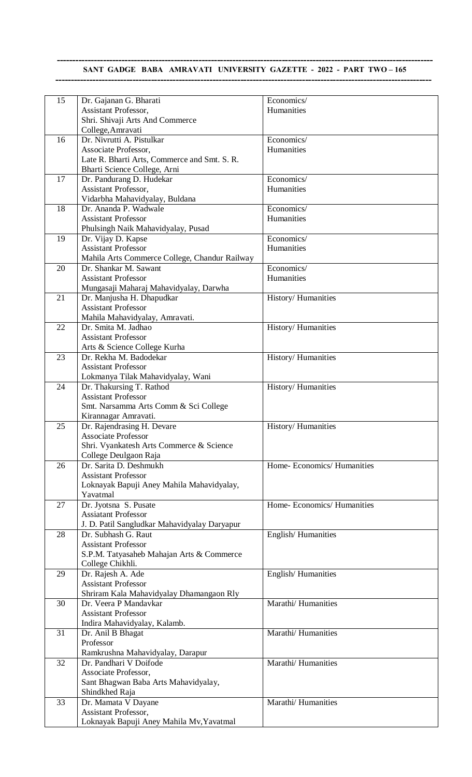# **SANT GADGE BABA AMRAVATI UNIVERSITY GAZETTE - 2022 - PART TWO – 165 --------------------------------------------------------------------------------------------------------------------------**

| 15 | Dr. Gajanan G. Bharati                        | Economics/                |
|----|-----------------------------------------------|---------------------------|
|    | Assistant Professor,                          | Humanities                |
|    | Shri. Shivaji Arts And Commerce               |                           |
|    |                                               |                           |
|    | College, Amravati                             |                           |
| 16 | Dr. Nivrutti A. Pistulkar                     | Economics/                |
|    | Associate Professor,                          | Humanities                |
|    | Late R. Bharti Arts, Commerce and Smt. S. R.  |                           |
|    | Bharti Science College, Arni                  |                           |
| 17 | Dr. Pandurang D. Hudekar                      | Economics/                |
|    | Assistant Professor,                          | Humanities                |
|    |                                               |                           |
|    | Vidarbha Mahavidyalay, Buldana                |                           |
| 18 | Dr. Ananda P. Wadwale                         | Economics/                |
|    | <b>Assistant Professor</b>                    | Humanities                |
|    | Phulsingh Naik Mahavidyalay, Pusad            |                           |
| 19 | Dr. Vijay D. Kapse                            | Economics/                |
|    | <b>Assistant Professor</b>                    | Humanities                |
|    | Mahila Arts Commerce College, Chandur Railway |                           |
|    |                                               |                           |
| 20 | Dr. Shankar M. Sawant                         | Economics/                |
|    | <b>Assistant Professor</b>                    | Humanities                |
|    | Mungasaji Maharaj Mahavidyalay, Darwha        |                           |
| 21 | Dr. Manjusha H. Dhapudkar                     | History/Humanities        |
|    | <b>Assistant Professor</b>                    |                           |
|    | Mahila Mahavidyalay, Amravati.                |                           |
| 22 | Dr. Smita M. Jadhao                           | History/Humanities        |
|    | <b>Assistant Professor</b>                    |                           |
|    |                                               |                           |
|    | Arts & Science College Kurha                  |                           |
| 23 | Dr. Rekha M. Badodekar                        | <b>History/Humanities</b> |
|    | <b>Assistant Professor</b>                    |                           |
|    | Lokmanya Tilak Mahavidyalay, Wani             |                           |
| 24 | Dr. Thakursing T. Rathod                      | History/Humanities        |
|    | <b>Assistant Professor</b>                    |                           |
|    | Smt. Narsamma Arts Comm & Sci College         |                           |
|    |                                               |                           |
|    | Kirannagar Amravati.                          |                           |
| 25 | Dr. Rajendrasing H. Devare                    | History/Humanities        |
|    | <b>Associate Professor</b>                    |                           |
|    | Shri. Vyankatesh Arts Commerce & Science      |                           |
|    | College Deulgaon Raja                         |                           |
| 26 | Dr. Sarita D. Deshmukh                        | Home-Economics/Humanities |
|    | <b>Assistant Professor</b>                    |                           |
|    | Loknayak Bapuji Aney Mahila Mahavidyalay,     |                           |
|    |                                               |                           |
|    | Yavatmal                                      |                           |
| 27 | Dr. Jyotsna S. Pusate                         | Home-Economics/Humanities |
|    | <b>Assiatant Professor</b>                    |                           |
|    | J. D. Patil Sangludkar Mahavidyalay Daryapur  |                           |
| 28 | Dr. Subhash G. Raut                           | English/Humanities        |
|    | <b>Assistant Professor</b>                    |                           |
|    | S.P.M. Tatyasaheb Mahajan Arts & Commerce     |                           |
|    | College Chikhli.                              |                           |
|    |                                               |                           |
| 29 | Dr. Rajesh A. Ade                             | English/Humanities        |
|    | <b>Assistant Professor</b>                    |                           |
|    | Shriram Kala Mahavidyalay Dhamangaon Rly      |                           |
| 30 | Dr. Veera P Mandavkar                         | Marathi/Humanities        |
|    | <b>Assistant Professor</b>                    |                           |
|    | Indira Mahavidyalay, Kalamb.                  |                           |
| 31 | Dr. Anil B Bhagat                             | Marathi/Humanities        |
|    | Professor                                     |                           |
|    |                                               |                           |
|    | Ramkrushna Mahavidyalay, Darapur              |                           |
| 32 | Dr. Pandhari V Doifode                        | Marathi/Humanities        |
|    | Associate Professor,                          |                           |
|    | Sant Bhagwan Baba Arts Mahavidyalay,          |                           |
|    | Shindkhed Raja                                |                           |
| 33 | Dr. Mamata V Dayane                           | Marathi/Humanities        |
|    | Assistant Professor,                          |                           |
|    |                                               |                           |
|    | Loknayak Bapuji Aney Mahila Mv, Yavatmal      |                           |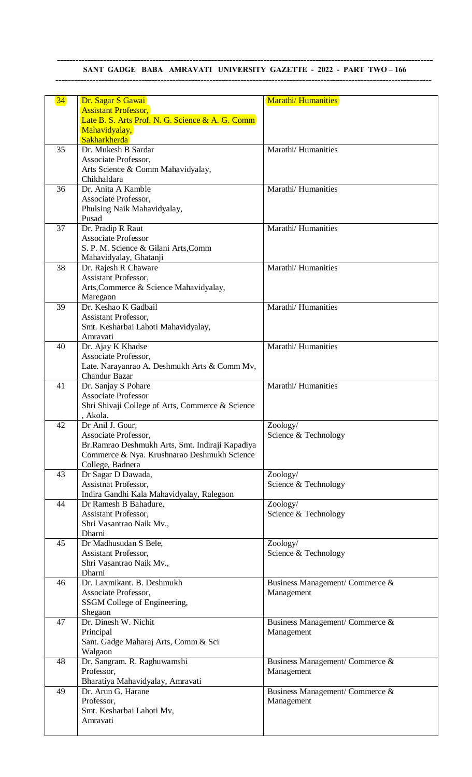## **-------------------------------------------------------------------------------------------------------------------------- SANT GADGE BABA AMRAVATI UNIVERSITY GAZETTE - 2022 - PART TWO -166 --------------------------------------------------------------------------------------------------------------------------**

| 34 | Dr. Sagar S Gawai                                                               | <b>Marathi/Humanities</b>        |
|----|---------------------------------------------------------------------------------|----------------------------------|
|    | <b>Assistant Professor,</b><br>Late B. S. Arts Prof. N. G. Science & A. G. Comm |                                  |
|    | Mahavidyalay,                                                                   |                                  |
|    | Sakharkherda                                                                    |                                  |
| 35 | Dr. Mukesh B Sardar                                                             | Marathi/ Humanities              |
|    | Associate Professor,                                                            |                                  |
|    | Arts Science & Comm Mahavidyalay,                                               |                                  |
|    | Chikhaldara                                                                     |                                  |
| 36 | Dr. Anita A Kamble                                                              | Marathi/ Humanities              |
|    | Associate Professor,                                                            |                                  |
|    | Phulsing Naik Mahavidyalay,                                                     |                                  |
|    | Pusad                                                                           |                                  |
| 37 | Dr. Pradip R Raut                                                               | Marathi/ Humanities              |
|    | <b>Associate Professor</b>                                                      |                                  |
|    | S. P. M. Science & Gilani Arts, Comm                                            |                                  |
|    | Mahavidyalay, Ghatanji                                                          |                                  |
| 38 | Dr. Rajesh R Chaware                                                            | Marathi/Humanities               |
|    | Assistant Professor,                                                            |                                  |
|    | Arts, Commerce & Science Mahavidyalay,                                          |                                  |
|    | Maregaon<br>Dr. Keshao K Gadbail                                                | Marathi/ Humanities              |
| 39 |                                                                                 |                                  |
|    | Assistant Professor,<br>Smt. Kesharbai Lahoti Mahavidyalay,                     |                                  |
|    | Amravati                                                                        |                                  |
| 40 | Dr. Ajay K Khadse                                                               | Marathi/ Humanities              |
|    | Associate Professor,                                                            |                                  |
|    | Late. Narayanrao A. Deshmukh Arts & Comm Mv,                                    |                                  |
|    | <b>Chandur Bazar</b>                                                            |                                  |
| 41 | Dr. Sanjay S Pohare                                                             | Marathi/Humanities               |
|    | <b>Associate Professor</b>                                                      |                                  |
|    | Shri Shivaji College of Arts, Commerce & Science                                |                                  |
|    | , Akola.                                                                        |                                  |
| 42 | Dr Anil J. Gour,                                                                | Zoology/                         |
|    | Associate Professor,                                                            | Science & Technology             |
|    | Br.Ramrao Deshmukh Arts, Smt. Indiraji Kapadiya                                 |                                  |
|    | Commerce & Nya. Krushnarao Deshmukh Science                                     |                                  |
|    | College, Badnera                                                                |                                  |
| 43 | Dr Sagar D Dawada,                                                              | Zoology/                         |
|    | Assistnat Professor,                                                            | Science & Technology             |
|    | Indira Gandhi Kala Mahavidyalay, Ralegaon                                       |                                  |
| 44 | Dr Ramesh B Bahadure,                                                           | Zoology/                         |
|    | Assistant Professor,                                                            | Science & Technology             |
|    | Shri Vasantrao Naik Mv.,<br>Dharni                                              |                                  |
| 45 | Dr Madhusudan S Bele,                                                           |                                  |
|    | Assistant Professor,                                                            | Zoology/<br>Science & Technology |
|    | Shri Vasantrao Naik Mv.,                                                        |                                  |
|    | Dharni                                                                          |                                  |
| 46 | Dr. Laxmikant. B. Deshmukh                                                      | Business Management/ Commerce &  |
|    | Associate Professor,                                                            | Management                       |
|    | SSGM College of Engineering,                                                    |                                  |
|    | Shegaon                                                                         |                                  |
| 47 | Dr. Dinesh W. Nichit                                                            | Business Management/ Commerce &  |
|    | Principal                                                                       | Management                       |
|    | Sant. Gadge Maharaj Arts, Comm & Sci                                            |                                  |
|    | Walgaon                                                                         |                                  |
| 48 | Dr. Sangram. R. Raghuwamshi                                                     | Business Management/ Commerce &  |
|    | Professor,                                                                      | Management                       |
|    | Bharatiya Mahavidyalay, Amravati                                                |                                  |
| 49 | Dr. Arun G. Harane                                                              | Business Management/ Commerce &  |
|    | Professor,                                                                      | Management                       |
|    | Smt. Kesharbai Lahoti Mv,                                                       |                                  |
|    | Amravati                                                                        |                                  |
|    |                                                                                 |                                  |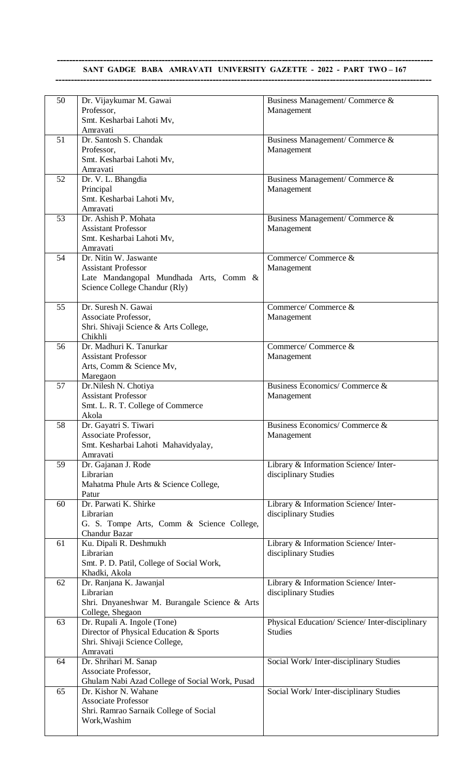## **-------------------------------------------------------------------------------------------------------------------------- SANT GADGE BABA AMRAVATI UNIVERSITY GAZETTE - 2022 - PART TWO -167 --------------------------------------------------------------------------------------------------------------------------**

| 50 | Dr. Vijaykumar M. Gawai                        | Business Management/ Commerce &                 |
|----|------------------------------------------------|-------------------------------------------------|
|    | Professor,                                     | Management                                      |
|    | Smt. Kesharbai Lahoti Mv,                      |                                                 |
|    | Amravati                                       |                                                 |
|    | Dr. Santosh S. Chandak                         |                                                 |
| 51 |                                                | Business Management/ Commerce &                 |
|    | Professor,                                     | Management                                      |
|    | Smt. Kesharbai Lahoti Mv,                      |                                                 |
|    | Amravati                                       |                                                 |
| 52 | Dr. V. L. Bhangdia                             | Business Management/ Commerce &                 |
|    |                                                |                                                 |
|    | Principal                                      | Management                                      |
|    | Smt. Kesharbai Lahoti Mv,                      |                                                 |
|    | Amravati                                       |                                                 |
| 53 | Dr. Ashish P. Mohata                           | Business Management/ Commerce &                 |
|    | <b>Assistant Professor</b>                     | Management                                      |
|    | Smt. Kesharbai Lahoti Mv,                      |                                                 |
|    | Amravati                                       |                                                 |
| 54 | Dr. Nitin W. Jaswante                          | Commerce/Commerce &                             |
|    |                                                |                                                 |
|    | <b>Assistant Professor</b>                     | Management                                      |
|    | Late Mandangopal Mundhada Arts, Comm &         |                                                 |
|    | Science College Chandur (Rly)                  |                                                 |
|    |                                                |                                                 |
| 55 | Dr. Suresh N. Gawai                            | Commerce/Commerce &                             |
|    | Associate Professor,                           |                                                 |
|    |                                                | Management                                      |
|    | Shri. Shivaji Science & Arts College,          |                                                 |
|    | Chikhli                                        |                                                 |
| 56 | Dr. Madhuri K. Tanurkar                        | Commerce/Commerce &                             |
|    | <b>Assistant Professor</b>                     | Management                                      |
|    | Arts, Comm & Science Mv,                       |                                                 |
|    | Maregaon                                       |                                                 |
| 57 | Dr.Nilesh N. Chotiya                           | Business Economics/Commerce &                   |
|    |                                                |                                                 |
|    | <b>Assistant Professor</b>                     | Management                                      |
|    | Smt. L. R. T. College of Commerce              |                                                 |
|    | Akola                                          |                                                 |
| 58 | Dr. Gayatri S. Tiwari                          | Business Economics/Commerce &                   |
|    | Associate Professor,                           | Management                                      |
|    | Smt. Kesharbai Lahoti Mahavidyalay,            |                                                 |
|    | Amravati                                       |                                                 |
|    |                                                |                                                 |
| 59 | Dr. Gajanan J. Rode                            | Library & Information Science/ Inter-           |
|    | Librarian                                      | disciplinary Studies                            |
|    | Mahatma Phule Arts & Science College,          |                                                 |
|    | Patur                                          |                                                 |
| 60 | Dr. Parwati K. Shirke                          | Library & Information Science/ Inter-           |
|    | Librarian                                      | disciplinary Studies                            |
|    | G. S. Tompe Arts, Comm & Science College,      |                                                 |
|    |                                                |                                                 |
|    | Chandur Bazar                                  |                                                 |
| 61 | Ku. Dipali R. Deshmukh                         | Library & Information Science/ Inter-           |
|    | Librarian                                      | disciplinary Studies                            |
|    | Smt. P. D. Patil, College of Social Work,      |                                                 |
|    | Khadki, Akola                                  |                                                 |
| 62 | Dr. Ranjana K. Jawanjal                        | Library & Information Science/ Inter-           |
|    | Librarian                                      | disciplinary Studies                            |
|    |                                                |                                                 |
|    | Shri. Dnyaneshwar M. Burangale Science & Arts  |                                                 |
|    | College, Shegaon                               |                                                 |
| 63 | Dr. Rupali A. Ingole (Tone)                    | Physical Education/ Science/ Inter-disciplinary |
|    | Director of Physical Education & Sports        | <b>Studies</b>                                  |
|    | Shri. Shivaji Science College,                 |                                                 |
|    | Amravati                                       |                                                 |
| 64 | Dr. Shrihari M. Sanap                          | Social Work/Inter-disciplinary Studies          |
|    |                                                |                                                 |
|    | Associate Professor,                           |                                                 |
|    | Ghulam Nabi Azad College of Social Work, Pusad |                                                 |
| 65 | Dr. Kishor N. Wahane                           | Social Work/Inter-disciplinary Studies          |
|    | Associate Professor                            |                                                 |
|    | Shri. Ramrao Sarnaik College of Social         |                                                 |
|    | Work, Washim                                   |                                                 |
|    |                                                |                                                 |
|    |                                                |                                                 |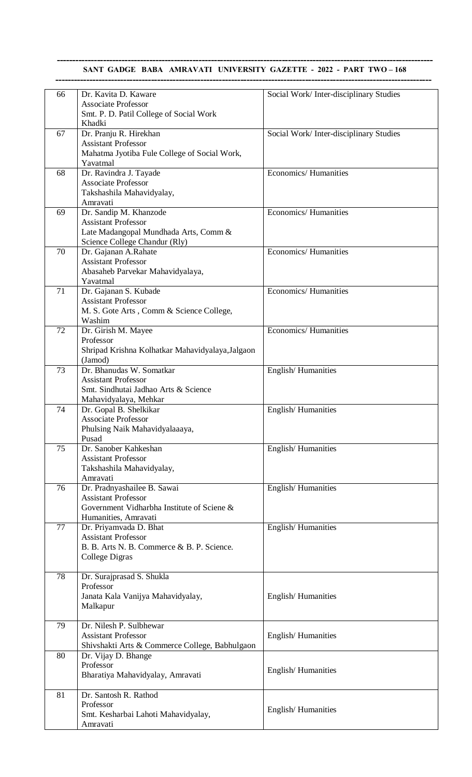#### SANT GADGE BABA AMRAVATI UNIVERSITY GAZETTE - 2022 - PART TWO - 168

| 66 | Dr. Kavita D. Kaware                                         | Social Work/Inter-disciplinary Studies |
|----|--------------------------------------------------------------|----------------------------------------|
|    | <b>Associate Professor</b>                                   |                                        |
|    | Smt. P. D. Patil College of Social Work                      |                                        |
|    | Khadki                                                       |                                        |
| 67 | Dr. Pranju R. Hirekhan                                       | Social Work/Inter-disciplinary Studies |
|    | <b>Assistant Professor</b>                                   |                                        |
|    | Mahatma Jyotiba Fule College of Social Work,<br>Yavatmal     |                                        |
| 68 | Dr. Ravindra J. Tayade                                       | Economics/Humanities                   |
|    | <b>Associate Professor</b>                                   |                                        |
|    | Takshashila Mahavidyalay,                                    |                                        |
|    | Amravati                                                     |                                        |
| 69 | Dr. Sandip M. Khanzode                                       | Economics/Humanities                   |
|    | <b>Assistant Professor</b>                                   |                                        |
|    | Late Madangopal Mundhada Arts, Comm &                        |                                        |
| 70 | Science College Chandur (Rly)<br>Dr. Gajanan A.Rahate        | <b>Economics/Humanities</b>            |
|    | <b>Assistant Professor</b>                                   |                                        |
|    | Abasaheb Parvekar Mahavidyalaya,                             |                                        |
|    | Yavatmal                                                     |                                        |
| 71 | Dr. Gajanan S. Kubade                                        | <b>Economics/Humanities</b>            |
|    | <b>Assistant Professor</b>                                   |                                        |
|    | M. S. Gote Arts, Comm & Science College,                     |                                        |
| 72 | Washim<br>Dr. Girish M. Mayee                                | Economics/Humanities                   |
|    | Professor                                                    |                                        |
|    | Shripad Krishna Kolhatkar Mahavidyalaya, Jalgaon             |                                        |
|    | (Jamod)                                                      |                                        |
| 73 | Dr. Bhanudas W. Somatkar                                     | English/Humanities                     |
|    | <b>Assistant Professor</b>                                   |                                        |
|    | Smt. Sindhutai Jadhao Arts & Science                         |                                        |
| 74 | Mahavidyalaya, Mehkar<br>Dr. Gopal B. Shelkikar              | English/Humanities                     |
|    | <b>Associate Professor</b>                                   |                                        |
|    | Phulsing Naik Mahavidyalaaaya,                               |                                        |
|    | Pusad                                                        |                                        |
| 75 | Dr. Sanober Kahkeshan                                        | English/Humanities                     |
|    | <b>Assistant Professor</b>                                   |                                        |
|    | Takshashila Mahavidyalay,                                    |                                        |
| 76 | Amravati<br>Dr. Pradnyashailee B. Sawai                      | English/Humanities                     |
|    | <b>Assistant Professor</b>                                   |                                        |
|    | Government Vidharbha Institute of Sciene &                   |                                        |
|    | Humanities, Amravati                                         |                                        |
| 77 | Dr. Priyamvada D. Bhat                                       | English/Humanities                     |
|    | <b>Assistant Professor</b>                                   |                                        |
|    | B. B. Arts N. B. Commerce & B. P. Science.<br>College Digras |                                        |
|    |                                                              |                                        |
| 78 | Dr. Surajprasad S. Shukla                                    |                                        |
|    | Professor                                                    |                                        |
|    | Janata Kala Vanijya Mahavidyalay,                            | English/Humanities                     |
|    | Malkapur                                                     |                                        |
| 79 | Dr. Nilesh P. Sulbhewar                                      |                                        |
|    | <b>Assistant Professor</b>                                   | English/Humanities                     |
|    | Shivshakti Arts & Commerce College, Babhulgaon               |                                        |
| 80 | Dr. Vijay D. Bhange                                          |                                        |
|    | Professor                                                    | English/Humanities                     |
|    | Bharatiya Mahavidyalay, Amravati                             |                                        |
|    |                                                              |                                        |
| 81 | Dr. Santosh R. Rathod<br>Professor                           |                                        |
|    | Smt. Kesharbai Lahoti Mahavidyalay,                          | English/Humanities                     |
|    | Amravati                                                     |                                        |
|    |                                                              |                                        |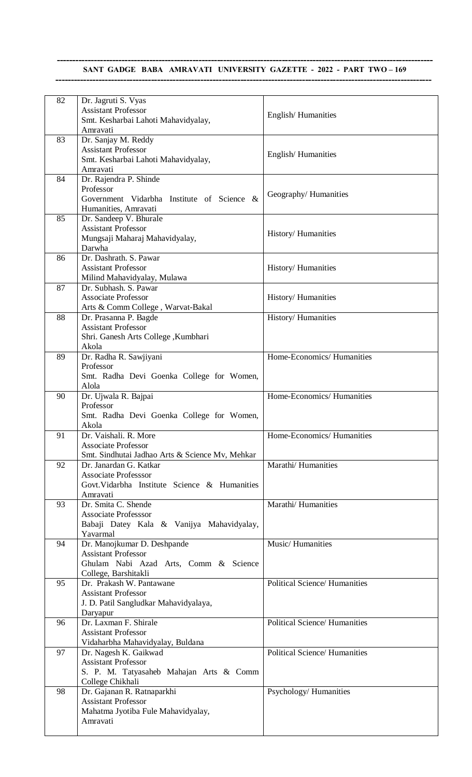# SANT GADGE BABA AMRAVATI UNIVERSITY GAZETTE - 2022 - PART TWO - 169 **--------------------------------------------------------------------------------------------------------------------------**

| 82 | Dr. Jagruti S. Vyas<br><b>Assistant Professor</b>                             | English/Humanities                   |
|----|-------------------------------------------------------------------------------|--------------------------------------|
|    | Smt. Kesharbai Lahoti Mahavidyalay,<br>Amravati                               |                                      |
| 83 | Dr. Sanjay M. Reddy<br><b>Assistant Professor</b>                             |                                      |
|    | Smt. Kesharbai Lahoti Mahavidyalay,<br>Amravati                               | English/Humanities                   |
| 84 | Dr. Rajendra P. Shinde                                                        |                                      |
|    | Professor<br>Government Vidarbha Institute of Science &                       | Geography/Humanities                 |
|    | Humanities, Amravati                                                          |                                      |
| 85 | Dr. Sandeep V. Bhurale<br><b>Assistant Professor</b>                          |                                      |
|    | Mungsaji Maharaj Mahavidyalay,                                                | History/Humanities                   |
| 86 | Darwha<br>Dr. Dashrath. S. Pawar                                              |                                      |
|    | <b>Assistant Professor</b>                                                    | History/Humanities                   |
| 87 | Milind Mahavidyalay, Mulawa<br>Dr. Subhash. S. Pawar                          |                                      |
|    | <b>Associate Professor</b>                                                    | History/Humanities                   |
|    | Arts & Comm College, Warvat-Bakal                                             |                                      |
| 88 | Dr. Prasanna P. Bagde<br><b>Assistant Professor</b>                           | History/Humanities                   |
|    | Shri. Ganesh Arts College , Kumbhari                                          |                                      |
| 89 | Akola<br>Dr. Radha R. Sawjiyani                                               | Home-Economics/ Humanities           |
|    | Professor                                                                     |                                      |
|    | Smt. Radha Devi Goenka College for Women,<br>Alola                            |                                      |
| 90 | Dr. Ujwala R. Bajpai                                                          | Home-Economics/ Humanities           |
|    | Professor                                                                     |                                      |
|    | Smt. Radha Devi Goenka College for Women,<br>Akola                            |                                      |
| 91 | Dr. Vaishali. R. More                                                         | Home-Economics/Humanities            |
|    | <b>Associate Professor</b><br>Smt. Sindhutai Jadhao Arts & Science Mv, Mehkar |                                      |
| 92 | Dr. Janardan G. Katkar                                                        | Marathi/Humanities                   |
|    | <b>Associate Professsor</b><br>Govt. Vidarbha Institute Science & Humanities  |                                      |
|    | Amravati                                                                      |                                      |
| 93 | Dr. Smita C. Shende<br><b>Associate Professsor</b>                            | Marathi/Humanities                   |
|    | Babaji Datey Kala & Vanijya Mahavidyalay,                                     |                                      |
| 94 | Yavarmal<br>Dr. Manojkumar D. Deshpande                                       | Music/Humanities                     |
|    | <b>Assistant Professor</b>                                                    |                                      |
|    | Ghulam Nabi Azad Arts, Comm & Science<br>College, Barshitakli                 |                                      |
| 95 | Dr. Prakash W. Pantawane                                                      | <b>Political Science/ Humanities</b> |
|    | <b>Assistant Professor</b>                                                    |                                      |
|    | J. D. Patil Sangludkar Mahavidyalaya,<br>Daryapur                             |                                      |
| 96 | Dr. Laxman F. Shirale                                                         | <b>Political Science/ Humanities</b> |
|    | <b>Assistant Professor</b><br>Vidaharbha Mahavidyalay, Buldana                |                                      |
| 97 | Dr. Nagesh K. Gaikwad                                                         | <b>Political Science/ Humanities</b> |
|    | <b>Assistant Professor</b><br>S. P. M. Tatyasaheb Mahajan Arts & Comm         |                                      |
|    | College Chikhali                                                              |                                      |
| 98 | Dr. Gajanan R. Ratnaparkhi<br><b>Assistant Professor</b>                      | Psychology/Humanities                |
|    | Mahatma Jyotiba Fule Mahavidyalay,                                            |                                      |
|    | Amravati                                                                      |                                      |
|    |                                                                               |                                      |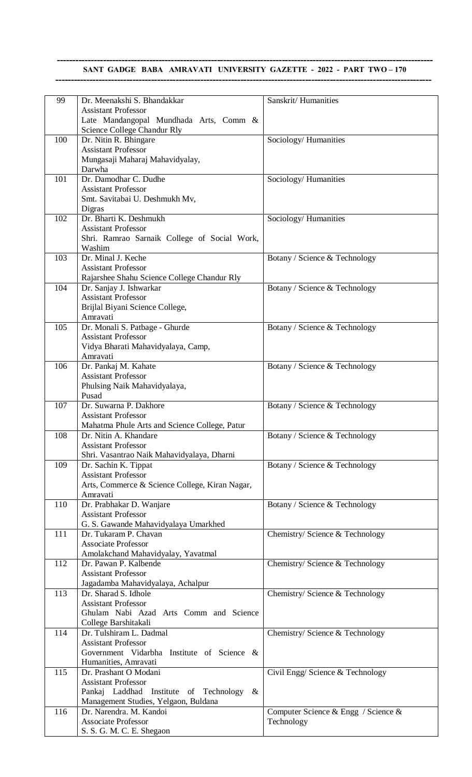## **-------------------------------------------------------------------------------------------------------------------------- SANT GADGE BABA AMRAVATI UNIVERSITY GAZETTE - 2022 - PART TWO - 170 --------------------------------------------------------------------------------------------------------------------------**

| 99  | Dr. Meenakshi S. Bhandakkar                             | Sanskrit/Humanities                 |
|-----|---------------------------------------------------------|-------------------------------------|
|     | <b>Assistant Professor</b>                              |                                     |
|     | Late Mandangopal Mundhada Arts, Comm &                  |                                     |
|     | Science College Chandur Rly                             |                                     |
| 100 | Dr. Nitin R. Bhingare                                   | Sociology/Humanities                |
|     | <b>Assistant Professor</b>                              |                                     |
|     | Mungasaji Maharaj Mahavidyalay,                         |                                     |
|     | Darwha                                                  |                                     |
| 101 | Dr. Damodhar C. Dudhe                                   | Sociology/Humanities                |
|     | <b>Assistant Professor</b>                              |                                     |
|     | Smt. Savitabai U. Deshmukh Mv,                          |                                     |
| 102 | Digras<br>Dr. Bharti K. Deshmukh                        |                                     |
|     | <b>Assistant Professor</b>                              | Sociology/Humanities                |
|     |                                                         |                                     |
|     | Shri. Ramrao Sarnaik College of Social Work,<br>Washim  |                                     |
| 103 | Dr. Minal J. Keche                                      | Botany / Science & Technology       |
|     | <b>Assistant Professor</b>                              |                                     |
|     | Rajarshee Shahu Science College Chandur Rly             |                                     |
| 104 | Dr. Sanjay J. Ishwarkar                                 | Botany / Science & Technology       |
|     | <b>Assistant Professor</b>                              |                                     |
|     | Brijlal Biyani Science College,                         |                                     |
|     | Amravati                                                |                                     |
| 105 | Dr. Monali S. Patbage - Ghurde                          | Botany / Science & Technology       |
|     | <b>Assistant Professor</b>                              |                                     |
|     | Vidya Bharati Mahavidyalaya, Camp,                      |                                     |
|     | Amravati                                                |                                     |
| 106 | Dr. Pankaj M. Kahate                                    | Botany / Science & Technology       |
|     | <b>Assistant Professor</b>                              |                                     |
|     | Phulsing Naik Mahavidyalaya,                            |                                     |
|     | Pusad                                                   |                                     |
| 107 | Dr. Suwarna P. Dakhore                                  | Botany / Science & Technology       |
|     | <b>Assistant Professor</b>                              |                                     |
|     | Mahatma Phule Arts and Science College, Patur           |                                     |
| 108 | Dr. Nitin A. Khandare                                   | Botany / Science & Technology       |
|     | <b>Assistant Professor</b>                              |                                     |
|     | Shri. Vasantrao Naik Mahavidyalaya, Dharni              |                                     |
| 109 | Dr. Sachin K. Tippat<br><b>Assistant Professor</b>      | Botany / Science & Technology       |
|     | Arts, Commerce & Science College, Kiran Nagar,          |                                     |
|     | Amravati                                                |                                     |
| 110 | Dr. Prabhakar D. Wanjare                                | Botany / Science & Technology       |
|     | <b>Assistant Professor</b>                              |                                     |
|     | G. S. Gawande Mahavidyalaya Umarkhed                    |                                     |
| 111 | Dr. Tukaram P. Chavan                                   | Chemistry/ Science & Technology     |
|     | <b>Associate Professor</b>                              |                                     |
|     | Amolakchand Mahavidyalay, Yavatmal                      |                                     |
| 112 | Dr. Pawan P. Kalbende                                   | Chemistry/ Science & Technology     |
|     | <b>Assistant Professor</b>                              |                                     |
|     | Jagadamba Mahavidyalaya, Achalpur                       |                                     |
| 113 | Dr. Sharad S. Idhole                                    | Chemistry/ Science & Technology     |
|     | <b>Assistant Professor</b>                              |                                     |
|     | Ghulam Nabi Azad Arts Comm and Science                  |                                     |
|     | College Barshitakali                                    |                                     |
| 114 | Dr. Tulshiram L. Dadmal                                 | Chemistry/ Science & Technology     |
|     | <b>Assistant Professor</b>                              |                                     |
|     | Government Vidarbha Institute of Science &              |                                     |
|     | Humanities, Amravati                                    |                                     |
| 115 | Dr. Prashant O Modani                                   | Civil Engg/ Science & Technology    |
|     | <b>Assistant Professor</b>                              |                                     |
|     | Pankaj Laddhad Institute of Technology<br>$\&$          |                                     |
|     | Management Studies, Yelgaon, Buldana                    |                                     |
| 116 | Dr. Narendra. M. Kandoi                                 | Computer Science & Engg / Science & |
|     | <b>Associate Professor</b><br>S. S. G. M. C. E. Shegaon | Technology                          |
|     |                                                         |                                     |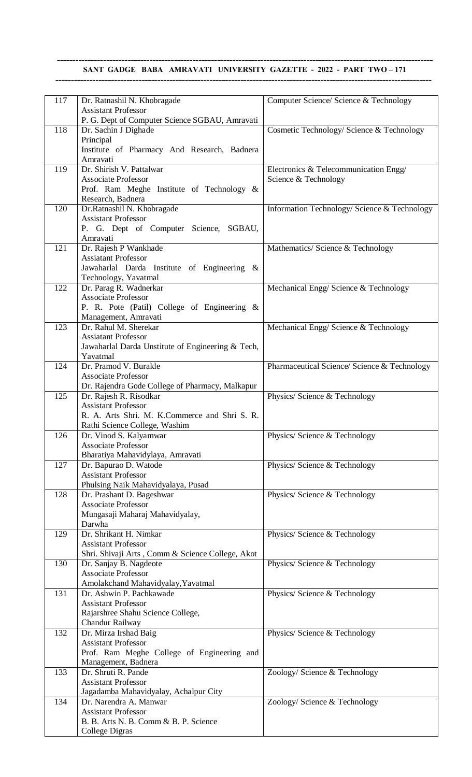# **SANT GADGE BABA AMRAVATI UNIVERSITY GAZETTE - 2022 - PART TWO – 171 --------------------------------------------------------------------------------------------------------------------------**

| 117 | Dr. Ratnashil N. Khobragade                         | Computer Science/ Science & Technology       |
|-----|-----------------------------------------------------|----------------------------------------------|
|     | <b>Assistant Professor</b>                          |                                              |
|     | P. G. Dept of Computer Science SGBAU, Amravati      |                                              |
| 118 | Dr. Sachin J Dighade                                | Cosmetic Technology/ Science & Technology    |
|     | Principal                                           |                                              |
|     | Institute of Pharmacy And Research, Badnera         |                                              |
|     | Amravati                                            |                                              |
| 119 | Dr. Shirish V. Pattalwar                            | Electronics & Telecommunication Engg/        |
|     | <b>Associate Professor</b>                          | Science & Technology                         |
|     | Prof. Ram Meghe Institute of Technology &           |                                              |
|     | Research, Badnera                                   |                                              |
| 120 | Dr.Ratnashil N. Khobragade                          | Information Technology/ Science & Technology |
|     | <b>Assistant Professor</b>                          |                                              |
|     | P. G. Dept of Computer Science, SGBAU,              |                                              |
|     | Amravati                                            |                                              |
| 121 | Dr. Rajesh P Wankhade                               | Mathematics/ Science & Technology            |
|     | <b>Assiatant Professor</b>                          |                                              |
|     | Jawaharlal Darda Institute of Engineering &         |                                              |
|     | Technology, Yavatmal                                |                                              |
| 122 | Dr. Parag R. Wadnerkar                              | Mechanical Engg/Science & Technology         |
|     | <b>Associate Professor</b>                          |                                              |
|     | P. R. Pote (Patil) College of Engineering &         |                                              |
|     |                                                     |                                              |
| 123 | Management, Amravati<br>Dr. Rahul M. Sherekar       | Mechanical Engg/Science & Technology         |
|     | <b>Assiatant Professor</b>                          |                                              |
|     |                                                     |                                              |
|     | Jawaharlal Darda Unstitute of Engineering & Tech,   |                                              |
| 124 | Yavatmal<br>Dr. Pramod V. Burakle                   |                                              |
|     |                                                     | Pharmaceutical Science/ Science & Technology |
|     | <b>Associate Professor</b>                          |                                              |
|     | Dr. Rajendra Gode College of Pharmacy, Malkapur     |                                              |
| 125 | Dr. Rajesh R. Risodkar                              | Physics/ Science & Technology                |
|     | <b>Assistant Professor</b>                          |                                              |
|     | R. A. Arts Shri. M. K.Commerce and Shri S. R.       |                                              |
|     | Rathi Science College, Washim                       |                                              |
| 126 | Dr. Vinod S. Kalyamwar                              | Physics/ Science & Technology                |
|     | <b>Associate Professor</b>                          |                                              |
|     | Bharatiya Mahavidylaya, Amravati                    |                                              |
| 127 | Dr. Bapurao D. Watode<br><b>Assistant Professor</b> | Physics/ Science & Technology                |
|     |                                                     |                                              |
|     | Phulsing Naik Mahavidyalaya, Pusad                  |                                              |
| 128 | Dr. Prashant D. Bageshwar                           | Physics/ Science & Technology                |
|     | <b>Associate Professor</b>                          |                                              |
|     | Mungasaji Maharaj Mahavidyalay,<br>Darwha           |                                              |
|     |                                                     |                                              |
| 129 | Dr. Shrikant H. Nimkar                              | Physics/ Science & Technology                |
|     | <b>Assistant Professor</b>                          |                                              |
|     | Shri. Shivaji Arts, Comm & Science College, Akot    |                                              |
| 130 | Dr. Sanjay B. Nagdeote                              | Physics/ Science & Technology                |
|     | <b>Associate Professor</b>                          |                                              |
|     | Amolakchand Mahavidyalay, Yavatmal                  |                                              |
| 131 | Dr. Ashwin P. Pachkawade                            | Physics/ Science & Technology                |
|     | <b>Assistant Professor</b>                          |                                              |
|     | Rajarshree Shahu Science College,                   |                                              |
|     | Chandur Railway                                     |                                              |
| 132 | Dr. Mirza Irshad Baig<br><b>Assistant Professor</b> | Physics/ Science & Technology                |
|     |                                                     |                                              |
|     | Prof. Ram Meghe College of Engineering and          |                                              |
|     | Management, Badnera                                 |                                              |
| 133 | Dr. Shruti R. Pande                                 | Zoology/Science & Technology                 |
|     | <b>Assistant Professor</b>                          |                                              |
|     | Jagadamba Mahavidyalay, Achalpur City               |                                              |
| 134 | Dr. Narendra A. Manwar                              | Zoology/Science & Technology                 |
|     | <b>Assistant Professor</b>                          |                                              |
|     | B. B. Arts N. B. Comm & B. P. Science               |                                              |
|     | <b>College Digras</b>                               |                                              |